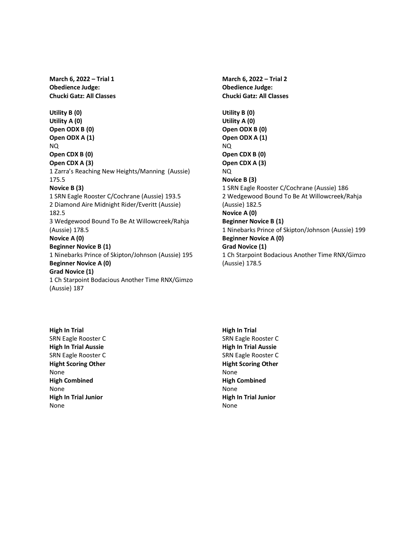**March 6, 2022 – Trial 1 Obedience Judge: Chucki Gatz: All Classes Utility B (0) Utility A (0) Open ODX B (0) Open ODX A (1)** NQ **Open CDX B (0) Open CDX A (3)** 1 Zarra's Reaching New Heights/Manning (Aussie) 175.5 **Novice B (3)** 1 SRN Eagle Rooster C/Cochrane (Aussie) 193.5 2 Diamond Aire Midnight Rider/Everitt (Aussie) 182.5 3 Wedgewood Bound To Be At Willowcreek/Rahja (Aussie) 178.5 **Novice A (0) Beginner Novice B (1)** 1 Ninebarks Prince of Skipton/Johnson (Aussie) 195 **Beginner Novice A (0) Grad Novice (1)** 1 Ch Starpoint Bodacious Another Time RNX/Gimzo (Aussie) 187

**Obedience Judge: Chucki Gatz: All Classes Utility B (0) Utility A (0) Open ODX B (0) Open ODX A (1)** NQ **Open CDX B (0) Open CDX A (3)** NQ **Novice B (3)** 1 SRN Eagle Rooster C/Cochrane (Aussie) 186 2 Wedgewood Bound To Be At Willowcreek/Rahja (Aussie) 182.5 **Novice A (0) Beginner Novice B (1)** 1 Ninebarks Prince of Skipton/Johnson (Aussie) 199 **Beginner Novice A (0) Grad Novice (1)** 1 Ch Starpoint Bodacious Another Time RNX/Gimzo (Aussie) 178.5

**March 6, 2022 – Trial 2**

**High In Trial** SRN Eagle Rooster C **High In Trial Aussie** SRN Eagle Rooster C **Hight Scoring Other** None **High Combined** None **High In Trial Junior** None

**High In Trial** SRN Eagle Rooster C **High In Trial Aussie** SRN Eagle Rooster C **Hight Scoring Other** None **High Combined** None **High In Trial Junior** None